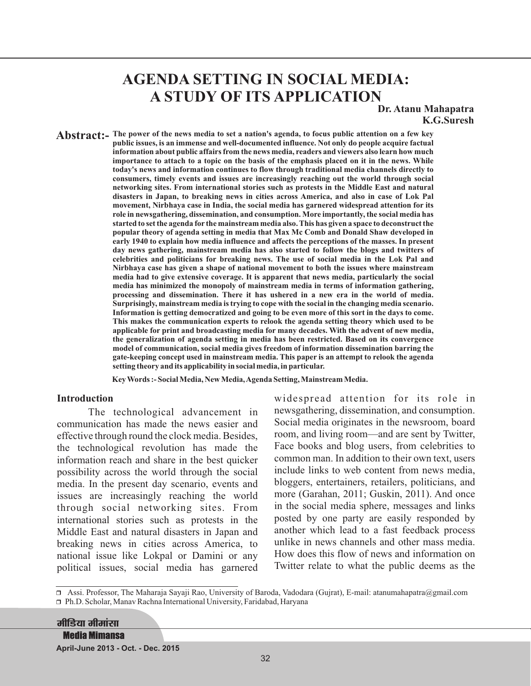# **AGENDA SETTING IN SOCIAL MEDIA: A STUDY OF ITS APPLICATION**

**Dr. Atanu Mahapatra K.G.Suresh**

**Abstract:** The power of the news media to set a nation's agenda, to focus public attention on a few key **public issues, is an immense and well-documented influence. Not only do people acquire factual information about public affairs from the news media, readers and viewers also learn how much importance to attach to a topic on the basis of the emphasis placed on it in the news. While today's news and information continues to flow through traditional media channels directly to consumers, timely events and issues are increasingly reaching out the world through social networking sites. From international stories such as protests in the Middle East and natural disasters in Japan, to breaking news in cities across America, and also in case of Lok Pal movement, Nirbhaya case in India, the social media has garnered widespread attention for its role in newsgathering, dissemination, and consumption. More importantly, the social media has started to set the agenda for the mainstream media also. This has given a space to deconstruct the popular theory of agenda setting in media that Max Mc Comb and Donald Shaw developed in early 1940 to explain how media influence and affects the perceptions of the masses. In present day news gathering, mainstream media has also started to follow the blogs and twitters of celebrities and politicians for breaking news. The use of social media in the Lok Pal and Nirbhaya case has given a shape of national movement to both the issues where mainstream media had to give extensive coverage. It is apparent that news media, particularly the social media has minimized the monopoly of mainstream media in terms of information gathering, processing and dissemination. There it has ushered in a new era in the world of media. Surprisingly, mainstream media is trying to cope with the social in the changing media scenario. Information is getting democratized and going to be even more of this sort in the days to come. This makes the communication experts to relook the agenda setting theory which used to be applicable for print and broadcasting media for many decades. With the advent of new media, the generalization of agenda setting in media has been restricted. Based on its convergence model of communication, social media gives freedom of information dissemination barring the gate-keeping concept used in mainstream media. This paper is an attempt to relook the agenda setting theory and its applicability in social media, in particular.**

**Key Words :- Social Media, New Media,Agenda Setting, Mainstream Media.**

#### **Introduction**

The technological advancement in communication has made the news easier and effective through round the clock media. Besides, the technological revolution has made the information reach and share in the best quicker possibility across the world through the social media. In the present day scenario, events and issues are increasingly reaching the world through social networking sites. From international stories such as protests in the Middle East and natural disasters in Japan and breaking news in cities across America, to national issue like Lokpal or Damini or any political issues, social media has garnered widespread attention for its role in newsgathering, dissemination, and consumption. Social media originates in the newsroom, board room, and living room—and are sent by Twitter, Face books and blog users, from celebrities to common man. In addition to their own text, users include links to web content from news media, bloggers, entertainers, retailers, politicians, and more (Garahan, 2011; Guskin, 2011). And once in the social media sphere, messages and links posted by one party are easily responded by another which lead to a fast feedback process unlike in news channels and other mass media. How does this flow of news and information on Twitter relate to what the public deems as the

r Assi. Professor, The Maharaja Sayaji Rao, University of Baroda, Vadodara (Gujrat), E-mail: atanumahapatra@gmail.com □ Ph.D. Scholar, Manav Rachna International University, Faridabad, Haryana

मीडिया मीमांसा **Media Mimansa April-June 2013 - Oct. - Dec. 2015**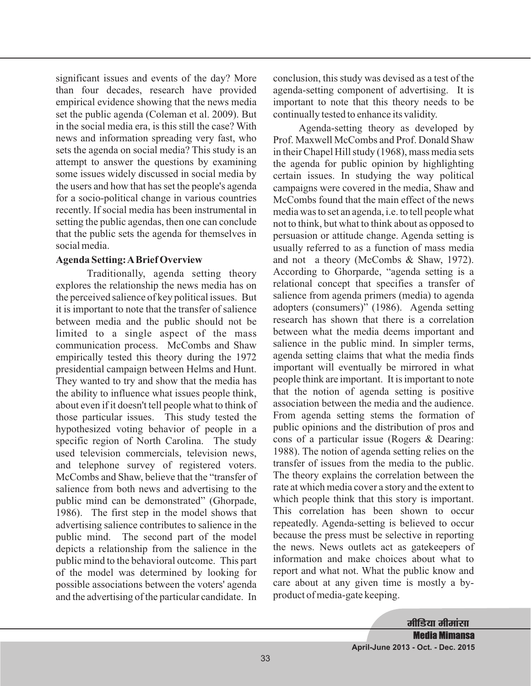significant issues and events of the day? More than four decades, research have provided empirical evidence showing that the news media set the public agenda (Coleman et al. 2009). But in the social media era, is this still the case? With news and information spreading very fast, who sets the agenda on social media? This study is an attempt to answer the questions by examining some issues widely discussed in social media by the users and how that has set the people's agenda for a socio-political change in various countries recently. If social media has been instrumental in setting the public agendas, then one can conclude that the public sets the agenda for themselves in social media.

#### **Agenda Setting:ABrief Overview**

Traditionally, agenda setting theory explores the relationship the news media has on the perceived salience of key political issues. But it is important to note that the transfer of salience between media and the public should not be limited to a single aspect of the mass communication process. McCombs and Shaw empirically tested this theory during the 1972 presidential campaign between Helms and Hunt. They wanted to try and show that the media has the ability to influence what issues people think, about even if it doesn't tell people what to think of those particular issues. This study tested the hypothesized voting behavior of people in a specific region of North Carolina. The study used television commercials, television news, and telephone survey of registered voters. McCombs and Shaw, believe that the "transfer of salience from both news and advertising to the public mind can be demonstrated" (Ghorpade, 1986). The first step in the model shows that advertising salience contributes to salience in the public mind. The second part of the model depicts a relationship from the salience in the public mind to the behavioral outcome. This part of the model was determined by looking for possible associations between the voters' agenda and the advertising of the particular candidate. In conclusion, this study was devised as a test of the agenda-setting component of advertising. It is important to note that this theory needs to be continually tested to enhance its validity.

Agenda-setting theory as developed by Prof. Maxwell McCombs and Prof. Donald Shaw in their Chapel Hill study (1968), mass media sets the agenda for public opinion by highlighting certain issues. In studying the way political campaigns were covered in the media, Shaw and McCombs found that the main effect of the news media was to set an agenda, i.e. to tell people what not to think, but what to think about as opposed to persuasion or attitude change. Agenda setting is usually referred to as a function of mass media and not a theory (McCombs & Shaw, 1972). According to Ghorparde, "agenda setting is a relational concept that specifies a transfer of salience from agenda primers (media) to agenda adopters (consumers)" (1986). Agenda setting research has shown that there is a correlation between what the media deems important and salience in the public mind. In simpler terms, agenda setting claims that what the media finds important will eventually be mirrored in what people think are important. It is important to note that the notion of agenda setting is positive association between the media and the audience. From agenda setting stems the formation of public opinions and the distribution of pros and cons of a particular issue (Rogers & Dearing: 1988). The notion of agenda setting relies on the transfer of issues from the media to the public. The theory explains the correlation between the rate at which media cover a story and the extent to which people think that this story is important. This correlation has been shown to occur repeatedly. Agenda-setting is believed to occur because the press must be selective in reporting the news. News outlets act as gatekeepers of information and make choices about what to report and what not. What the public know and care about at any given time is mostly a byproduct of media-gate keeping.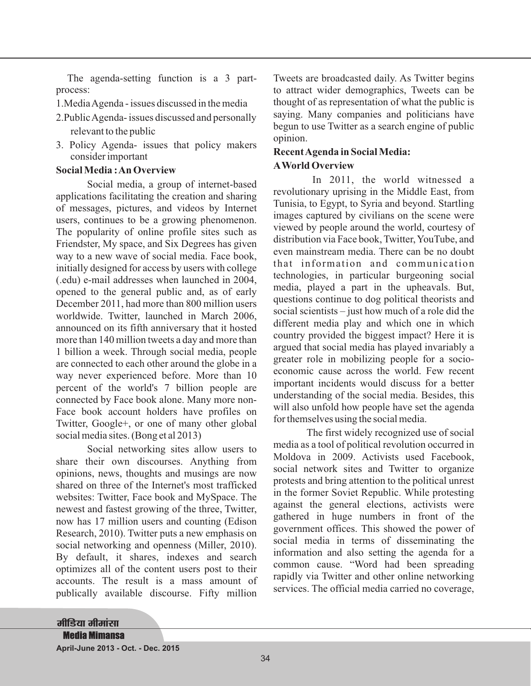The agenda-setting function is a 3 partprocess:

1.MediaAgenda - issues discussed in the media

- 2.PublicAgenda- issues discussed and personally relevant to the public
- 3. Policy Agenda- issues that policy makers consider important

#### **Social Media :An Overview**

Social media, a group of internet-based applications facilitating the creation and sharing of messages, pictures, and videos by Internet users, continues to be a growing phenomenon. The popularity of online profile sites such as Friendster, My space, and Six Degrees has given way to a new wave of social media. Face book, initially designed for access by users with college (.edu) e-mail addresses when launched in 2004, opened to the general public and, as of early December 2011, had more than 800 million users worldwide. Twitter, launched in March 2006, announced on its fifth anniversary that it hosted more than 140 million tweets a day and more than 1 billion a week. Through social media, people are connected to each other around the globe in a way never experienced before. More than 10 percent of the world's 7 billion people are connected by Face book alone. Many more non-Face book account holders have profiles on Twitter, Google+, or one of many other global social media sites. (Bong et al 2013)

Social networking sites allow users to share their own discourses. Anything from opinions, news, thoughts and musings are now shared on three of the Internet's most trafficked websites: Twitter, Face book and MySpace. The newest and fastest growing of the three, Twitter, now has 17 million users and counting (Edison Research, 2010). Twitter puts a new emphasis on social networking and openness (Miller, 2010). By default, it shares, indexes and search optimizes all of the content users post to their accounts. The result is a mass amount of publically available discourse. Fifty million Tweets are broadcasted daily. As Twitter begins to attract wider demographics, Tweets can be thought of as representation of what the public is saying. Many companies and politicians have begun to use Twitter as a search engine of public opinion.

### **RecentAgenda in Social Media: AWorld Overview**

In 2011, the world witnessed a revolutionary uprising in the Middle East, from Tunisia, to Egypt, to Syria and beyond. Startling images captured by civilians on the scene were viewed by people around the world, courtesy of distribution via Face book, Twitter, YouTube, and even mainstream media. There can be no doubt that information and communication technologies, in particular burgeoning social media, played a part in the upheavals. But, questions continue to dog political theorists and social scientists – just how much of a role did the different media play and which one in which country provided the biggest impact? Here it is argued that social media has played invariably a greater role in mobilizing people for a socioeconomic cause across the world. Few recent important incidents would discuss for a better understanding of the social media. Besides, this will also unfold how people have set the agenda for themselves using the social media.

The first widely recognized use of social media as a tool of political revolution occurred in Moldova in 2009. Activists used Facebook, social network sites and Twitter to organize protests and bring attention to the political unrest in the former Soviet Republic. While protesting against the general elections, activists were gathered in huge numbers in front of the government offices. This showed the power of social media in terms of disseminating the information and also setting the agenda for a common cause. "Word had been spreading rapidly via Twitter and other online networking services. The official media carried no coverage,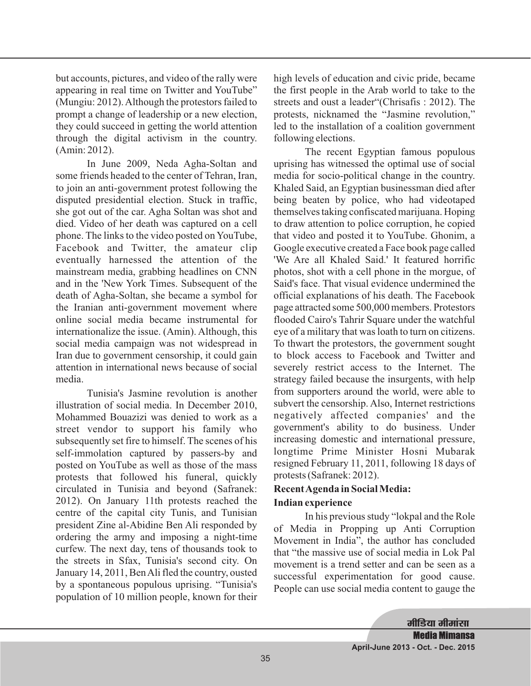but accounts, pictures, and video of the rally were appearing in real time on Twitter and YouTube" (Mungiu: 2012).Although the protestors failed to prompt a change of leadership or a new election, they could succeed in getting the world attention through the digital activism in the country. (Amin: 2012).

In June 2009, Neda Agha-Soltan and some friends headed to the center of Tehran, Iran, to join an anti-government protest following the disputed presidential election. Stuck in traffic, she got out of the car. Agha Soltan was shot and died. Video of her death was captured on a cell phone. The links to the video posted on YouTube, Facebook and Twitter, the amateur clip eventually harnessed the attention of the mainstream media, grabbing headlines on CNN and in the 'New York Times. Subsequent of the death of Agha-Soltan, she became a symbol for the Iranian anti-government movement where online social media became instrumental for internationalize the issue. (Amin). Although, this social media campaign was not widespread in Iran due to government censorship, it could gain attention in international news because of social media.

Tunisia's Jasmine revolution is another illustration of social media. In December 2010, Mohammed Bouazizi was denied to work as a street vendor to support his family who subsequently set fire to himself. The scenes of his self-immolation captured by passers-by and posted on YouTube as well as those of the mass protests that followed his funeral, quickly circulated in Tunisia and beyond (Safranek: 2012). On January 11th protests reached the centre of the capital city Tunis, and Tunisian president Zine al-Abidine Ben Ali responded by ordering the army and imposing a night-time curfew. The next day, tens of thousands took to the streets in Sfax, Tunisia's second city. On January 14, 2011, BenAli fled the country, ousted by a spontaneous populous uprising. "Tunisia's population of 10 million people, known for their

high levels of education and civic pride, became the first people in the Arab world to take to the streets and oust a leader"(Chrisafis : 2012). The protests, nicknamed the "Jasmine revolution," led to the installation of a coalition government following elections.

The recent Egyptian famous populous uprising has witnessed the optimal use of social media for socio-political change in the country. Khaled Said, an Egyptian businessman died after being beaten by police, who had videotaped themselves taking confiscated marijuana. Hoping to draw attention to police corruption, he copied that video and posted it to YouTube. Ghonim, a Google executive created a Face book page called 'We Are all Khaled Said.' It featured horrific photos, shot with a cell phone in the morgue, of Said's face. That visual evidence undermined the official explanations of his death. The Facebook page attracted some 500,000 members. Protestors flooded Cairo's Tahrir Square under the watchful eye of a military that was loath to turn on citizens. To thwart the protestors, the government sought to block access to Facebook and Twitter and severely restrict access to the Internet. The strategy failed because the insurgents, with help from supporters around the world, were able to subvert the censorship. Also, Internet restrictions negatively affected companies' and the government's ability to do business. Under increasing domestic and international pressure, longtime Prime Minister Hosni Mubarak resigned February 11, 2011, following 18 days of protests (Safranek: 2012).

# **RecentAgenda in Social Media:**

## **Indian experience**

In his previous study "lokpal and the Role of Media in Propping up Anti Corruption Movement in India", the author has concluded that "the massive use of social media in Lok Pal movement is a trend setter and can be seen as a successful experimentation for good cause. People can use social media content to gauge the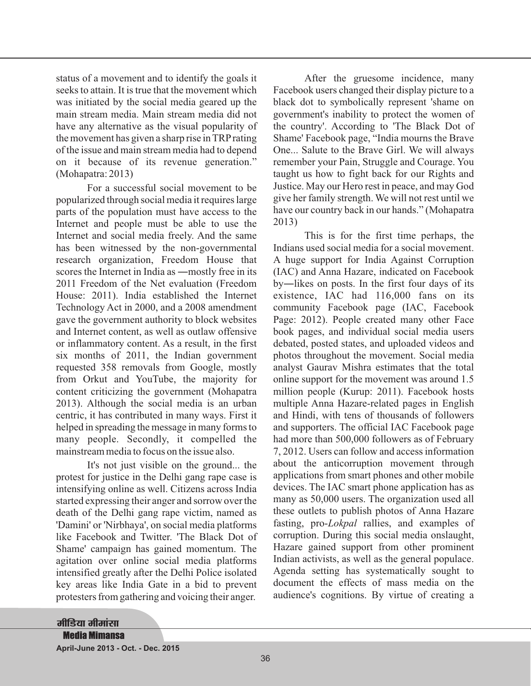status of a movement and to identify the goals it seeks to attain. It is true that the movement which was initiated by the social media geared up the main stream media. Main stream media did not have any alternative as the visual popularity of the movement has given a sharp rise in TRPrating of the issue and main stream media had to depend on it because of its revenue generation." (Mohapatra: 2013)

For a successful social movement to be popularized through social media it requires large parts of the population must have access to the Internet and people must be able to use the 2011 Freedom of the Net evaluation (Freedom House: 2011). India established the Internet Technology Act in 2000, and a 2008 amendment gave the government authority to block websites and Internet content, as well as outlaw offensive or inflammatory content. As a result, in the first six months of 2011, the Indian government requested 358 removals from Google, mostly from Orkut and YouTube, the majority for content criticizing the government (Mohapatra 2013). Although the social media is an urban centric, it has contributed in many ways. First it helped in spreading the message in many forms to many people. Secondly, it compelled the mainstream media to focus on the issue also. scores the Internet in India as —mostly free in its (IAC) and Anna Hazare, indicated on Facebook Internet and social media freely. And the same has been witnessed by the non-governmental research organization, Freedom House that

It's not just visible on the ground... the protest for justice in the Delhi gang rape case is intensifying online as well. Citizens across India started expressing their anger and sorrow over the death of the Delhi gang rape victim, named as 'Damini' or 'Nirbhaya', on social media platforms like Facebook and Twitter. 'The Black Dot of Shame' campaign has gained momentum. The agitation over online social media platforms intensified greatly after the Delhi Police isolated key areas like India Gate in a bid to prevent protesters from gathering and voicing their anger.

After the gruesome incidence, many Facebook users changed their display picture to a black dot to symbolically represent 'shame on government's inability to protect the women of the country'. According to 'The Black Dot of Shame' Facebook page, "India mourns the Brave One... Salute to the Brave Girl. We will always remember your Pain, Struggle and Courage. You taught us how to fight back for our Rights and Justice. May our Hero rest in peace, and may God give her family strength. We will not rest until we have our country back in our hands." (Mohapatra 2013)

This is for the first time perhaps, the Indians used social media for a social movement. A huge support for India Against Corruption debated, posted states, and uploaded videos and photos throughout the movement. Social media analyst Gaurav Mishra estimates that the total online support for the movement was around 1.5 million people (Kurup: 2011). Facebook hosts multiple Anna Hazare-related pages in English and Hindi, with tens of thousands of followers and supporters. The official IAC Facebook page had more than 500,000 followers as of February 7, 2012. Users can follow and access information about the anticorruption movement through applications from smart phones and other mobile devices. The IAC smart phone application has as many as 50,000 users. The organization used all these outlets to publish photos of Anna Hazare fasting, pro-*Lokpal* rallies, and examples of corruption. During this social media onslaught, Hazare gained support from other prominent Indian activists, as well as the general populace. Agenda setting has systematically sought to document the effects of mass media on the audience's cognitions. By virtue of creating a by―likes on posts. In the first four days of its existence, IAC had 116,000 fans on its community Facebook page (IAC, Facebook Page: 2012). People created many other Face book pages, and individual social media users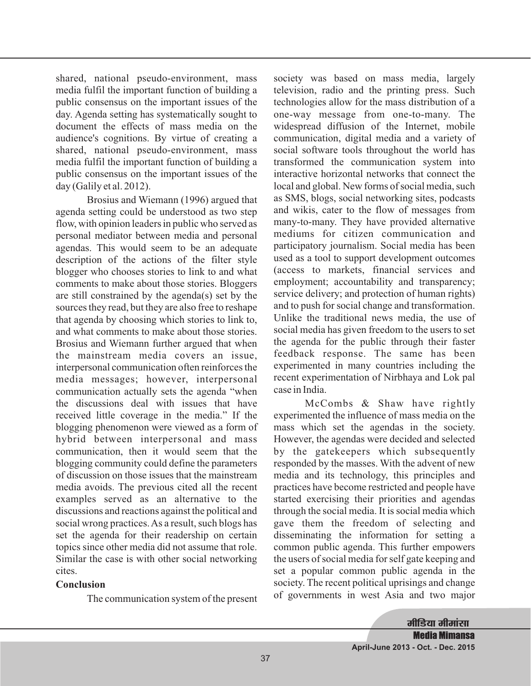shared, national pseudo-environment, mass media fulfil the important function of building a public consensus on the important issues of the day. Agenda setting has systematically sought to document the effects of mass media on the audience's cognitions. By virtue of creating a shared, national pseudo-environment, mass media fulfil the important function of building a public consensus on the important issues of the day (Galily et al. 2012).

Brosius and Wiemann (1996) argued that agenda setting could be understood as two step flow, with opinion leaders in public who served as personal mediator between media and personal agendas. This would seem to be an adequate description of the actions of the filter style blogger who chooses stories to link to and what comments to make about those stories. Bloggers are still constrained by the agenda(s) set by the sources they read, but they are also free to reshape that agenda by choosing which stories to link to, and what comments to make about those stories. Brosius and Wiemann further argued that when the mainstream media covers an issue, interpersonal communication often reinforces the media messages; however, interpersonal communication actually sets the agenda "when the discussions deal with issues that have received little coverage in the media." If the blogging phenomenon were viewed as a form of hybrid between interpersonal and mass communication, then it would seem that the blogging community could define the parameters of discussion on those issues that the mainstream media avoids. The previous cited all the recent examples served as an alternative to the discussions and reactions against the political and social wrong practices.As a result, such blogs has set the agenda for their readership on certain topics since other media did not assume that role. Similar the case is with other social networking cites.

## **Conclusion**

The communication system of the present

society was based on mass media, largely television, radio and the printing press. Such technologies allow for the mass distribution of a one-way message from one-to-many. The widespread diffusion of the Internet, mobile communication, digital media and a variety of social software tools throughout the world has transformed the communication system into interactive horizontal networks that connect the local and global. New forms of social media, such as SMS, blogs, social networking sites, podcasts and wikis, cater to the flow of messages from many-to-many. They have provided alternative mediums for citizen communication and participatory journalism. Social media has been used as a tool to support development outcomes (access to markets, financial services and employment; accountability and transparency; service delivery; and protection of human rights) and to push for social change and transformation. Unlike the traditional news media, the use of social media has given freedom to the users to set the agenda for the public through their faster feedback response. The same has been experimented in many countries including the recent experimentation of Nirbhaya and Lok pal case in India.

McCombs & Shaw have rightly experimented the influence of mass media on the mass which set the agendas in the society. However, the agendas were decided and selected by the gatekeepers which subsequently responded by the masses. With the advent of new media and its technology, this principles and practices have become restricted and people have started exercising their priorities and agendas through the social media. It is social media which gave them the freedom of selecting and disseminating the information for setting a common public agenda. This further empowers the users of social media for self gate keeping and set a popular common public agenda in the society. The recent political uprisings and change of governments in west Asia and two major